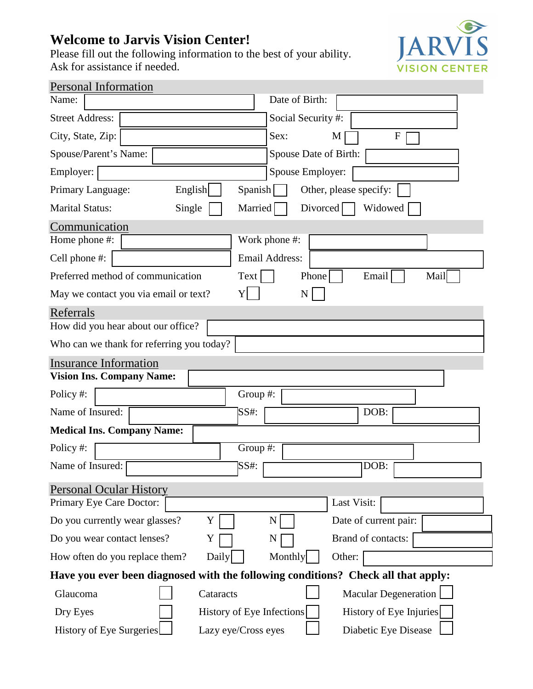# **Welcome to Jarvis Vision Center!**

Please fill out the following information to the best of your ability. Ask for assistance if needed.



| <b>Personal Information</b>               |                                                                                   |
|-------------------------------------------|-----------------------------------------------------------------------------------|
| Name:                                     | Date of Birth:                                                                    |
| <b>Street Address:</b>                    | Social Security #:                                                                |
| City, State, Zip:                         | Sex:<br>F<br>M                                                                    |
| Spouse/Parent's Name:                     | Spouse Date of Birth:                                                             |
| Employer:                                 | Spouse Employer:                                                                  |
| English<br>Primary Language:              | Spanish<br>Other, please specify:                                                 |
| <b>Marital Status:</b><br>Single          | Married<br>Widowed<br>Divorced                                                    |
| Communication                             |                                                                                   |
| Home phone #:                             | Work phone #:                                                                     |
| Cell phone #:                             | <b>Email Address:</b>                                                             |
| Preferred method of communication         | Text<br>Phone<br>Email<br>Mail                                                    |
| May we contact you via email or text?     | Y<br>N                                                                            |
| Referrals                                 |                                                                                   |
| How did you hear about our office?        |                                                                                   |
| Who can we thank for referring you today? |                                                                                   |
| <b>Insurance Information</b>              |                                                                                   |
| <b>Vision Ins. Company Name:</b>          |                                                                                   |
| Policy#:                                  | Group #:                                                                          |
| Name of Insured:                          | SS#:<br>DOB:                                                                      |
| <b>Medical Ins. Company Name:</b>         |                                                                                   |
| Policy#:                                  | Group #:                                                                          |
| Name of Insured:                          | SS#:<br>DOB:                                                                      |
| <b>Personal Ocular History</b>            |                                                                                   |
| Primary Eye Care Doctor:                  | Last Visit:                                                                       |
| Do you currently wear glasses?<br>Y       | ${\bf N}$<br>Date of current pair:                                                |
| Do you wear contact lenses?<br>Y          | Brand of contacts:<br>N                                                           |
| How often do you replace them?<br>Daily   | Monthly<br>Other:                                                                 |
|                                           | Have you ever been diagnosed with the following conditions? Check all that apply: |
| Glaucoma<br>Cataracts                     | <b>Macular Degeneration</b>                                                       |
| Dry Eyes                                  | History of Eye Injuries<br>History of Eye Infections                              |
| History of Eye Surgeries                  | Diabetic Eye Disease<br>Lazy eye/Cross eyes                                       |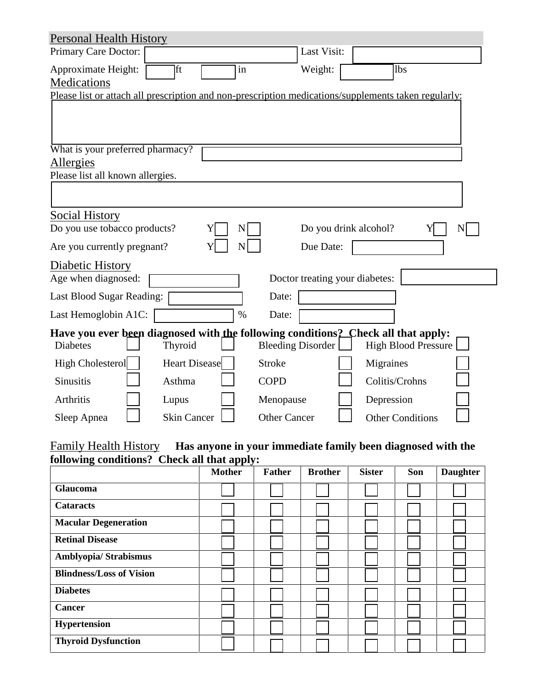| <b>Personal Health History</b>               |                                                                                                      |
|----------------------------------------------|------------------------------------------------------------------------------------------------------|
| Primary Care Doctor:                         | Last Visit:                                                                                          |
| <sup>1</sup> ft<br>Approximate Height:<br>in | <b>lbs</b><br>Weight:                                                                                |
| Medications                                  |                                                                                                      |
|                                              | Please list or attach all prescription and non-prescription medications/supplements taken regularly: |
|                                              |                                                                                                      |
|                                              |                                                                                                      |
| What is your preferred pharmacy?             |                                                                                                      |
| Allergies                                    |                                                                                                      |
| Please list all known allergies.             |                                                                                                      |
|                                              |                                                                                                      |
|                                              |                                                                                                      |
| <b>Social History</b>                        |                                                                                                      |
| Do you use tobacco products?<br>N            | Do you drink alcohol?<br>N                                                                           |
| $\mathbf N$<br>Are you currently pregnant?   | Due Date:                                                                                            |
| Diabetic History                             |                                                                                                      |
| Age when diagnosed:                          | Doctor treating your diabetes:                                                                       |
| Last Blood Sugar Reading:                    | Date:                                                                                                |
| Last Hemoglobin A1C:<br>$\%$                 | Date:                                                                                                |
|                                              | Have you ever been diagnosed with the following conditions? Check all that apply:                    |
| <b>Diabetes</b><br>Thyroid                   | <b>High Blood Pressure</b><br><b>Bleeding Disorder</b>                                               |
| <b>Heart Disease</b><br>High Cholesterol     | <b>Stroke</b><br>Migraines                                                                           |
| <b>Sinusitis</b><br>Asthma                   | Colitis/Crohns<br><b>COPD</b>                                                                        |
| Arthritis<br>Lupus                           | Menopause<br>Depression                                                                              |
| <b>Skin Cancer</b>                           | <b>Other Cancer</b>                                                                                  |
| Sleep Apnea                                  | <b>Other Conditions</b>                                                                              |

#### Family Health History **Has anyone in your immediate family been diagnosed with the following conditions? Check all that apply:**

| $\frac{1}{2}$ $\frac{1}{2}$ $\frac{1}{2}$ $\frac{1}{2}$ $\frac{1}{2}$ $\frac{1}{2}$ $\frac{1}{2}$ $\frac{1}{2}$ $\frac{1}{2}$ $\frac{1}{2}$ $\frac{1}{2}$ $\frac{1}{2}$ $\frac{1}{2}$ $\frac{1}{2}$ $\frac{1}{2}$ $\frac{1}{2}$ $\frac{1}{2}$ $\frac{1}{2}$ $\frac{1}{2}$ $\frac{1}{2}$ $\frac{1}{2}$ $\frac{1}{2}$ | <b>Mother</b> | <b>Father</b> | <b>Brother</b> | <b>Sister</b> | Son | <b>Daughter</b> |
|---------------------------------------------------------------------------------------------------------------------------------------------------------------------------------------------------------------------------------------------------------------------------------------------------------------------|---------------|---------------|----------------|---------------|-----|-----------------|
| Glaucoma                                                                                                                                                                                                                                                                                                            |               |               |                |               |     |                 |
| <b>Cataracts</b>                                                                                                                                                                                                                                                                                                    |               |               |                |               |     |                 |
| <b>Macular Degeneration</b>                                                                                                                                                                                                                                                                                         |               |               |                |               |     |                 |
| <b>Retinal Disease</b>                                                                                                                                                                                                                                                                                              |               |               |                |               |     |                 |
| <b>Amblyopia/Strabismus</b>                                                                                                                                                                                                                                                                                         |               |               |                |               |     |                 |
| <b>Blindness/Loss of Vision</b>                                                                                                                                                                                                                                                                                     |               |               |                |               |     |                 |
| <b>Diabetes</b>                                                                                                                                                                                                                                                                                                     |               |               |                |               |     |                 |
| <b>Cancer</b>                                                                                                                                                                                                                                                                                                       |               |               |                |               |     |                 |
| <b>Hypertension</b>                                                                                                                                                                                                                                                                                                 |               |               |                |               |     |                 |
| <b>Thyroid Dysfunction</b>                                                                                                                                                                                                                                                                                          |               |               |                |               |     |                 |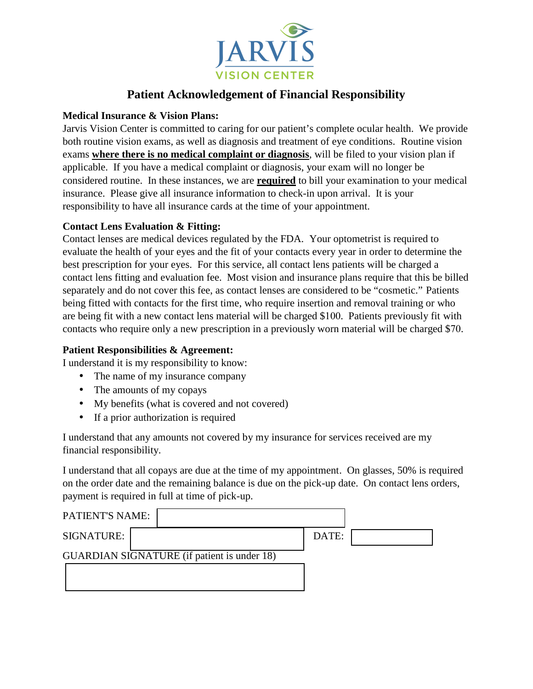

### **Patient Acknowledgement of Financial Responsibility**

#### **Medical Insurance & Vision Plans:**

Jarvis Vision Center is committed to caring for our patient's complete ocular health. We provide both routine vision exams, as well as diagnosis and treatment of eye conditions. Routine vision exams **where there is no medical complaint or diagnosis**, will be filed to your vision plan if applicable. If you have a medical complaint or diagnosis, your exam will no longer be considered routine. In these instances, we are **required** to bill your examination to your medical insurance. Please give all insurance information to check-in upon arrival. It is your responsibility to have all insurance insurance. Please give all insurance information to check-in upon arrival. It is your responsibility to have all insurance cards at the time of your appointment.

#### **Contact Lens Evaluation & Fitting:**

evaluate the health of your eyes and the fit of your contacts every year in order to determine the responsibility to have all insurance cards at the time of your appointment.<br> **Contact Lens Evaluation & Fitting:**<br>
Contact lenses are medical devices regulated by the FDA. Your optometrist is required to<br>
evaluate the heal separately and do not cover this fee, as contact lenses are considered to be "cosmetic." Patients Contact lenses are medical devices regulated by the FDA. Tour optionerist is required to evaluate the health of your eyes and the fit of your contacts every year in order to determine the best prescription for your eyes. F evaluate the health of your eyes and the fit of your contacts every year in order to determine the<br>best prescription for your eyes. For this service, all contact lens patients will be charged a<br>contact lens fitting and eva contacts who require only a new prescription in a previously worn material will be charged \$70.

#### **Patient Responsibilities & Agreement:**

I understand it is my responsibility to know:

- The name of my insurance company
- The amounts of my copays
- My benefits (what is covered and not covered)
- If a prior authorization is required

I understand that any amounts not covered by my insurance for services received are my financial responsibility.

I understand that all copays are due at the time of my appointment. On glasses, 50% is required on the order date and the remaining balance is due on the pick-up date. On contact lens orders, payment is required in full at time of pick-up.

| PATIENT'S NAME: |                                             |       |  |
|-----------------|---------------------------------------------|-------|--|
| SIGNATURE:      |                                             | DATE: |  |
|                 | GUARDIAN SIGNATURE (if patient is under 18) |       |  |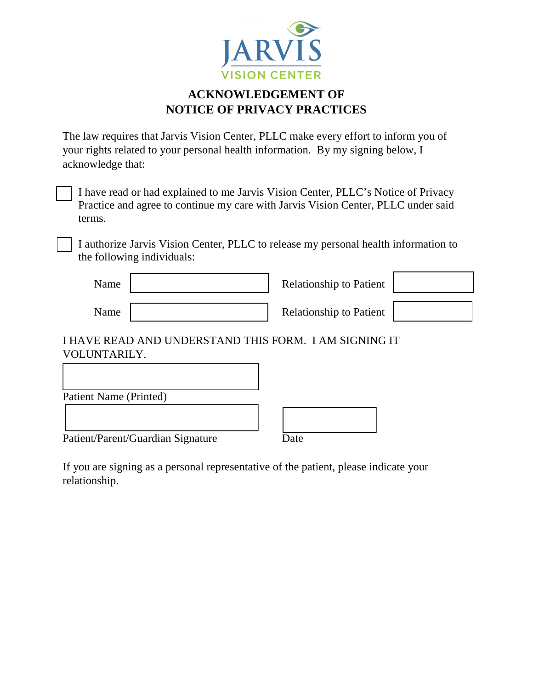

### **ACKNOWLEDGEMENT OF NOTICE OF PRIVACY PRACTICES**

The law requires that Jarvis Vision Center, PLLC make every effort to inform you of your rights related to your personal health information. By my signing below, I acknowledge that:

I have read or had explained to me Jarvis Vision Center, PLLC's Notice of Privacy Practice and agree to continue my care with Jarvis Vision Center, PLLC under said terms.

I authorize Jarvis Vision Center, PLLC to release my personal health information to the following individuals:

| Name | <b>Relationship to Patient</b> |  |
|------|--------------------------------|--|
| Name | <b>Relationship to Patient</b> |  |

I HAVE READ AND UNDERSTAND THIS FORM. I AM SIGNING IT VOLUNTARILY.

| Patient Name (Printed)            |             |
|-----------------------------------|-------------|
|                                   |             |
|                                   |             |
| Patient/Parent/Guardian Signature | <b>Date</b> |

If you are signing as a personal representative of the patient, please indicate your relationship.